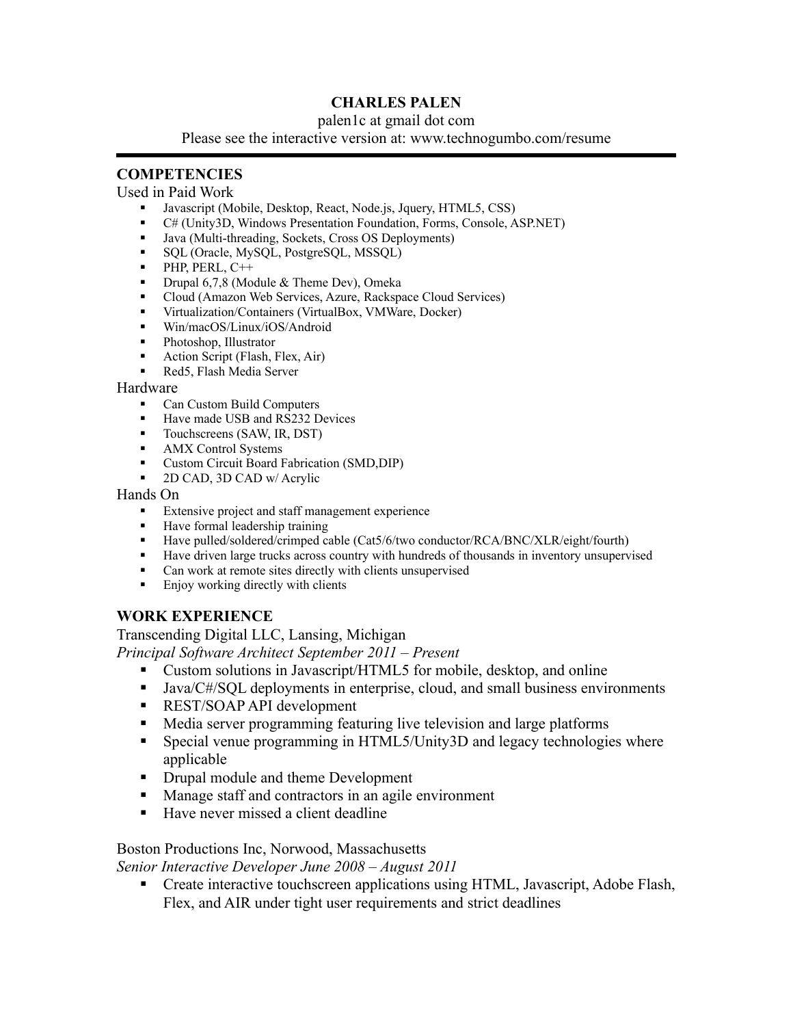# **CHARLES PALEN**

#### palen1c at gmail dot com

Please see the interactive version at: www.technogumbo.com/resume

# **COMPETENCIES**

#### Used in Paid Work

- Javascript (Mobile, Desktop, React, Node.js, Jquery, HTML5, CSS)
- C# (Unity3D, Windows Presentation Foundation, Forms, Console, ASP.NET)
- Java (Multi-threading, Sockets, Cross OS Deployments)
- **SQL** (Oracle, MySQL, PostgreSQL, MSSQL)
- $\blacksquare$ PHP, PERL, C++
- Drupal 6,7,8 (Module & Theme Dev), Omeka
- Cloud (Amazon Web Services, Azure, Rackspace Cloud Services)
- Virtualization/Containers (VirtualBox, VMWare, Docker)<br>■ Win/macOS/Linux/iOS/Android
- Win/macOS/Linux/iOS/Android
- Photoshop, Illustrator
- **Action Script (Flash, Flex, Air)**
- Red5, Flash Media Server

#### Hardware

- Can Custom Build Computers
- Have made USB and RS232 Devices
- Touchscreens (SAW, IR, DST)
- **AMX** Control Systems
- Custom Circuit Board Fabrication (SMD,DIP)
- 2D CAD, 3D CAD w/ Acrylic

#### Hands On

- **Extensive project and staff management experience**
- **Have formal leadership training**
- Have pulled/soldered/crimped cable (Cat5/6/two conductor/RCA/BNC/XLR/eight/fourth)
- **Have driven large trucks across country with hundreds of thousands in inventory unsupervised**
- Can work at remote sites directly with clients unsupervised
- **Enjoy working directly with clients**

## **WORK EXPERIENCE**

Transcending Digital LLC, Lansing, Michigan

*Principal Software Architect September 2011 – Present*

- Custom solutions in Javascript/HTML5 for mobile, desktop, and online
- Java/C#/SQL deployments in enterprise, cloud, and small business environments
- **REST/SOAP API development**
- Media server programming featuring live television and large platforms
- Special venue programming in HTML5/Unity3D and legacy technologies where applicable
- Drupal module and theme Development
- **Manage staff and contractors in an agile environment**
- Have never missed a client deadline

# Boston Productions Inc, Norwood, Massachusetts

*Senior Interactive Developer June 2008 – August 2011*

**Create interactive touchscreen applications using HTML, Javascript, Adobe Flash,** Flex, and AIR under tight user requirements and strict deadlines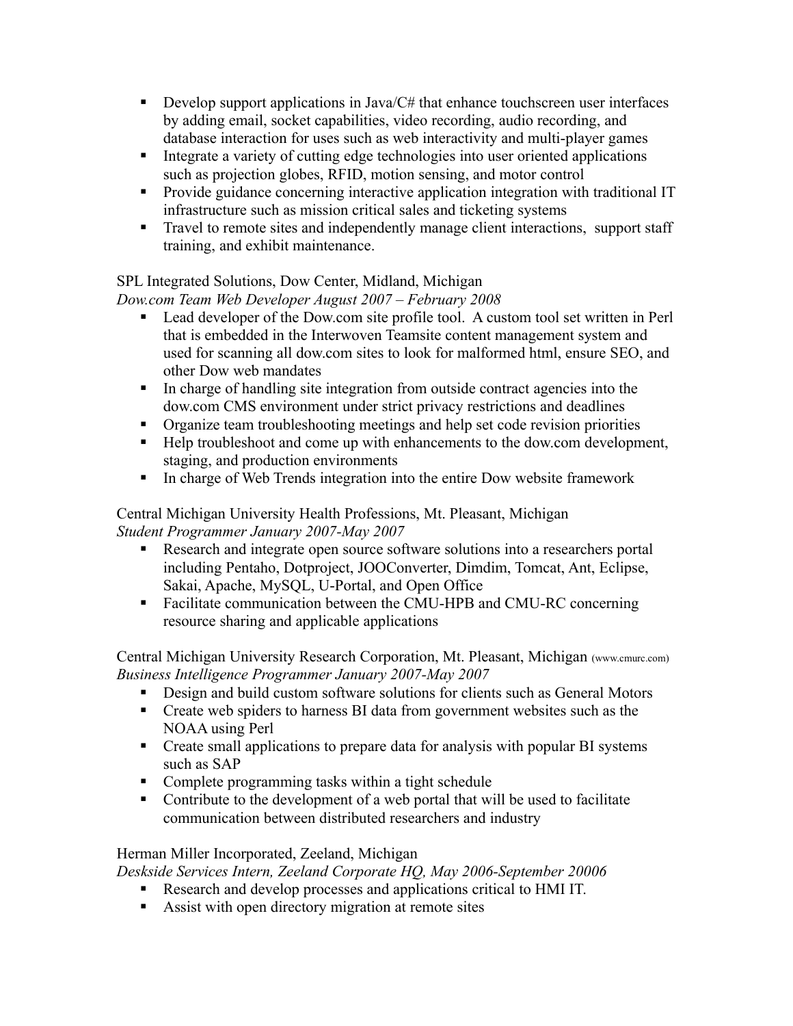- Develop support applications in Java/ $C#$  that enhance touchscreen user interfaces by adding email, socket capabilities, video recording, audio recording, and database interaction for uses such as web interactivity and multi-player games
- Integrate a variety of cutting edge technologies into user oriented applications such as projection globes, RFID, motion sensing, and motor control
- **Provide guidance concerning interactive application integration with traditional IT** infrastructure such as mission critical sales and ticketing systems
- **Travel to remote sites and independently manage client interactions, support staff** training, and exhibit maintenance.

# SPL Integrated Solutions, Dow Center, Midland, Michigan

*Dow.com Team Web Developer August 2007 – February 2008*

- Lead developer of the Dow.com site profile tool. A custom tool set written in Perl that is embedded in the Interwoven Teamsite content management system and used for scanning all dow.com sites to look for malformed html, ensure SEO, and other Dow web mandates
- In charge of handling site integration from outside contract agencies into the dow.com CMS environment under strict privacy restrictions and deadlines
- Organize team troubleshooting meetings and help set code revision priorities
- Help troubleshoot and come up with enhancements to the dow.com development, staging, and production environments
- In charge of Web Trends integration into the entire Dow website framework

Central Michigan University Health Professions, Mt. Pleasant, Michigan *Student Programmer January 2007-May 2007*

- Research and integrate open source software solutions into a researchers portal including Pentaho, Dotproject, JOOConverter, Dimdim, Tomcat, Ant, Eclipse, Sakai, Apache, MySQL, U-Portal, and Open Office
- Facilitate communication between the CMU-HPB and CMU-RC concerning resource sharing and applicable applications

Central Michigan University Research Corporation, Mt. Pleasant, Michigan (www.cmurc.com) *Business Intelligence Programmer January 2007-May 2007*

- Design and build custom software solutions for clients such as General Motors
- Create web spiders to harness BI data from government websites such as the NOAA using Perl
- Create small applications to prepare data for analysis with popular BI systems such as SAP
- Complete programming tasks within a tight schedule
- Contribute to the development of a web portal that will be used to facilitate communication between distributed researchers and industry

## Herman Miller Incorporated, Zeeland, Michigan

*Deskside Services Intern, Zeeland Corporate HQ, May 2006-September 20006*

- Research and develop processes and applications critical to HMI IT.
- Assist with open directory migration at remote sites